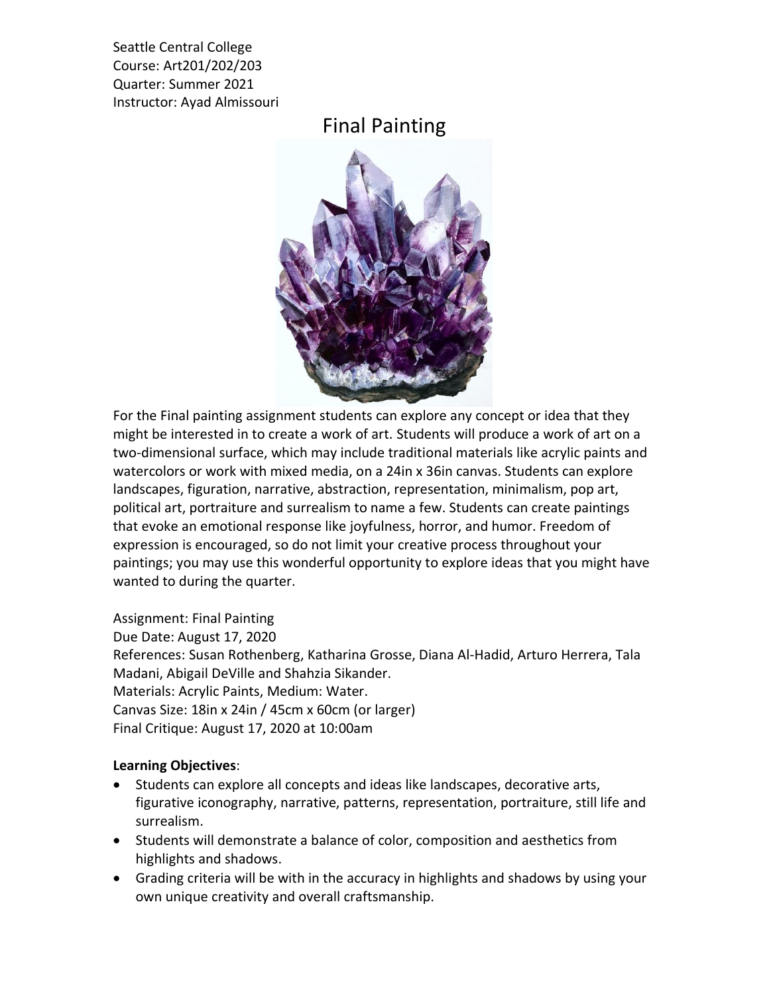Seattle Central College Course: Art201/202/203 Quarter: Summer 2021 Instructor: Ayad Almissouri

## Final Painting



For the Final painting assignment students can explore any concept or idea that they might be interested in to create a work of art. Students will produce a work of art on a two-dimensional surface, which may include traditional materials like acrylic paints and watercolors or work with mixed media, on a 24in x 36in canvas. Students can explore landscapes, figuration, narrative, abstraction, representation, minimalism, pop art, political art, portraiture and surrealism to name a few. Students can create paintings that evoke an emotional response like joyfulness, horror, and humor. Freedom of expression is encouraged, so do not limit your creative process throughout your paintings; you may use this wonderful opportunity to explore ideas that you might have wanted to during the quarter.

Assignment: Final Painting Due Date: August 17, 2020 References: Susan Rothenberg, Katharina Grosse, Diana Al-Hadid, Arturo Herrera, Tala Madani, Abigail DeVille and Shahzia Sikander. Materials: Acrylic Paints, Medium: Water. Canvas Size: 18in x 24in / 45cm x 60cm (or larger) Final Critique: August 17, 2020 at 10:00am

## **Learning Objectives**:

- Students can explore all concepts and ideas like landscapes, decorative arts, figurative iconography, narrative, patterns, representation, portraiture, still life and surrealism.
- Students will demonstrate a balance of color, composition and aesthetics from highlights and shadows.
- Grading criteria will be with in the accuracy in highlights and shadows by using your own unique creativity and overall craftsmanship.